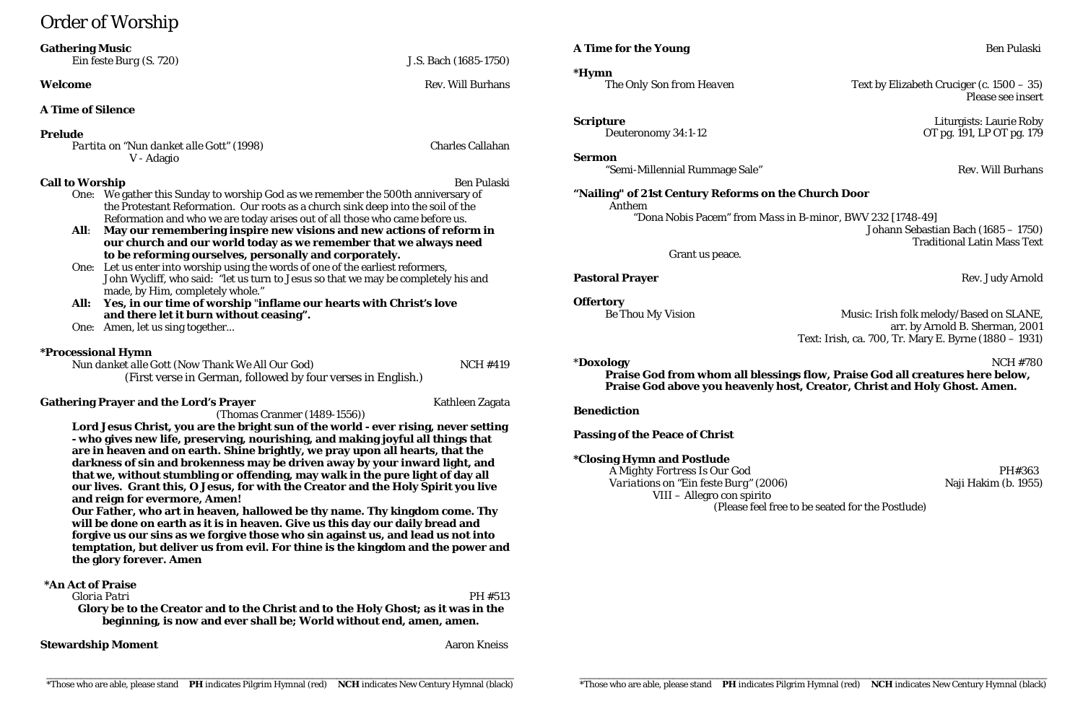# Order of Worship

| <b>Gathering Music</b> |  |
|------------------------|--|
|------------------------|--|

*Ein feste Burg (S. 720)* J.S. Bach (1685-1750)

### **Welcome** Rev. Will Burhans

# **A Time of Silence**

### **Prelude**

*Partita on "Nun danket alle Gott" (1998)* Charles Callahan V - Adagio

- **Call to Worship** Ben Pulaski One: We gather this Sunday to worship God as we remember the 500th anniversary of the Protestant Reformation. Our roots as a church sink deep into the soil of the Reformation and who we are today arises out of all those who came before us.
	- **All**: **May our remembering inspire new visions and new actions of reform in our church and our world today as we remember that we always need to be reforming ourselves, personally and corporately.**
	- One: Let us enter into worship using the words of one of the earliest reformers, John Wycliff, who said: "let us turn to Jesus so that we may be completely his and made, by Him, completely whole."
	- **All: Yes, in our time of worship** "**inflame our hearts with Christ's love and there let it burn without ceasing".**
	- One: Amen, let us sing together...

*Nun danket alle Gott (Now Thank We All Our God)* NCH #419 (First verse in German, followed by four verses in English.)

# **Gathering Prayer and the Lord's Prayer** Mathleen Zagata

# **\*Processional Hymn**

*Text by Elizabeth Cruciger (c. 1500 – 35)* Please see insert

(Thomas Cranmer (1489-1556))

**Scripture** Liturgists: Laurie Roby Deuteronomy 34:1-12 OT pg. 191, LP OT pg. 179

**Sermon** "Semi-Millennial Rummage Sale" National Accords and Rev. Will Burhans

*Be Thou My Vision* **Music: Irish folk melody/Based on SLANE**, arr. by Arnold B. Sherman, 2001 Text: Irish, ca. 700, Tr. Mary E. Byrne (1880 – 1931)

**Lord Jesus Christ, you are the bright sun of the world - ever rising, never setting - who gives new life, preserving, nourishing, and making joyful all things that are in heaven and on earth. Shine brightly, we pray upon all hearts, that the darkness of sin and brokenness may be driven away by your inward light, and that we, without stumbling or offending, may walk in the pure light of day all our lives. Grant this, O Jesus, for with the Creator and the Holy Spirit you live and reign for evermore, Amen!**

**Our Father, who art in heaven, hallowed be thy name. Thy kingdom come. Thy will be done on earth as it is in heaven. Give us this day our daily bread and forgive us our sins as we forgive those who sin against us, and lead us not into temptation, but deliver us from evil. For thine is the kingdom and the power and the glory forever. Amen**

# **\*An Act of Praise**

# *Gloria Patri* PH #513

**Glory be to the Creator and to the Christ and to the Holy Ghost; as it was in the beginning, is now and ever shall be; World without end, amen, amen.**

# **Stewardship Moment** Aaron Kneiss Aaron Kneiss

# **A Time for the Young** Ben Pulaski

**\*Hymn**

# **"Nailing" of 21st Century Reforms on the Church Door** Anthem

"Dona Nobis Pacem" from *Mass in B-minor*, BWV 232 [1748-49] Johann Sebastian Bach (1685 – 1750) Traditional Latin Mass Text

Grant us peace.

# **Pastoral Prayer** Rev. Judy Arnold

**Offertory**

\***Doxology** NCH #780 **Praise God from whom all blessings flow, Praise God all creatures here below, Praise God above you heavenly host, Creator, Christ and Holy Ghost. Amen.**

**Benediction**

**Passing of the Peace of Christ**

# **\*Closing Hymn and Postlude**

*A Mighty Fortress Is Our God* PH#363 *Variations on "Ein feste Burg" (2006)* Naji Hakim (b. 1955) VIII – Allegro con spirito (Please feel free to be seated for the Postlude)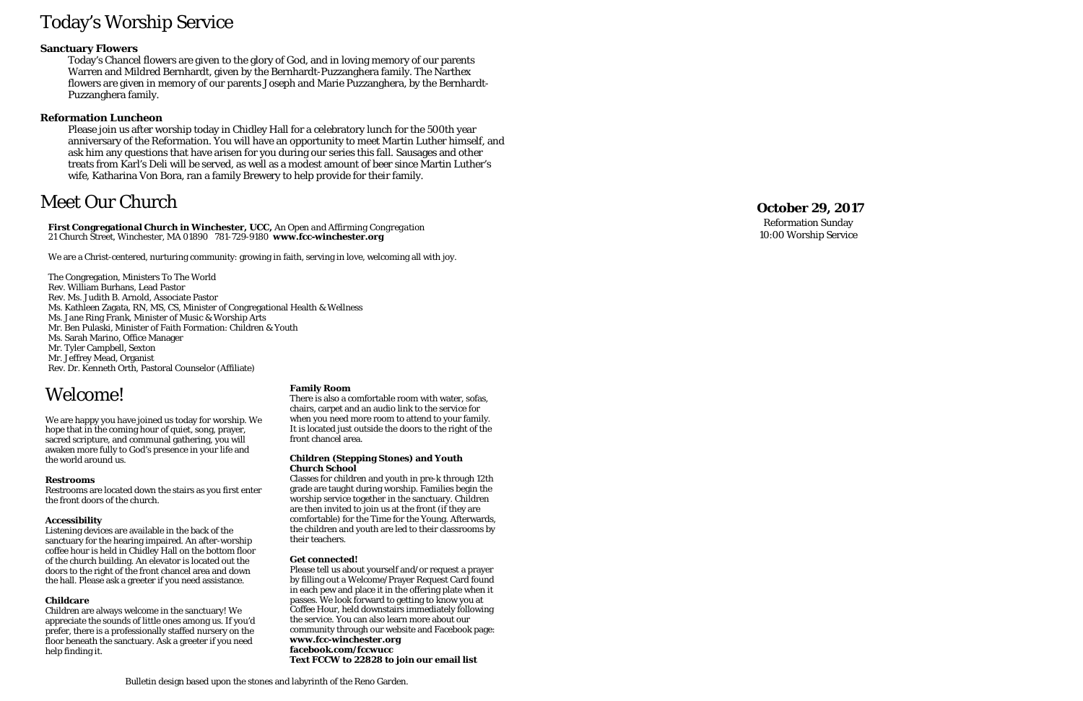# Today's Worship Service

# **Sanctuary Flowers**

Today's Chancel flowers are given to the glory of God, and in loving memory of our parents Warren and Mildred Bernhardt, given by the Bernhardt-Puzzanghera family. The Narthex flowers are given in memory of our parents Joseph and Marie Puzzanghera, by the Bernhardt-Puzzanghera family.

### **Reformation Luncheon**

Please join us after worship today in Chidley Hall for a celebratory lunch for the 500th year anniversary of the Reformation. You will have an opportunity to meet Martin Luther himself, and ask him any questions that have arisen for you during our series this fall. Sausages and other treats from Karl's Deli will be served , as well as a modest amount of beer since Martin Luther's wife, Katharina Von Bora, ran a family Brewery to help provide for their family.

# Meet Our Church

**First Congregational Church in Winchester, UCC,** *An Open and Affirming Congregation* 21 Church Street, Winchester, MA 01890 781-729-9180 **www.fcc -winchester.org**

We are a Christ-centered, nurturing community: growing in faith, serving in love, welcoming all with joy.

The Congregation, Ministers To The World Rev. William Burhans, Lead Pastor Rev. Ms. Judith B. Arnold, Associate Pastor Ms. Kathleen Zagata, RN, MS, CS, Minister of Congregational Health & Wellness Ms. Jane Ring Frank, Minister of Music & Worship Arts Mr. Ben Pulaski, Minister of Faith Formation: Children & Youth Ms. Sarah Marino, Office Manager Mr. Tyler Campbell, Sexton Mr. Jeffrey Mead, Organist Rev. Dr. Kenneth Orth, Pastoral Counselor (Affiliate)

# **October 2 9 , 2017**

Reformation Sunday 10:00 Worship Service

# Welcome!

We are happy you have joined us today for worship. We hope that in the coming hour of quiet, song, prayer, sacred scripture, and communal gathering, you will awaken more fully to God's presence in your life and the world around us.

#### **Restrooms**

Restrooms are located down the stairs as you first enter the front doors of the church.

#### **Accessibility**

Listening devices are available in the back of the sanctuary for the hearing impaired. An after-worship coffee hour is held in Chidley Hall on the bottom floor of the church building. An elevator is located out the doors to the right of the front chancel area and down the hall. Please ask a greeter if you need assistance.

#### **Childcare**

Children are always welcome in the sanctuary! We appreciate the sounds of little ones among us. If you'd prefer, there is a professionally staffed nursery on the floor beneath the sanctuary. Ask a greeter if you need help finding it.

#### **Family Room**

There is also a comfortable room with water, sofas, chairs, carpet and an audio link to the service for when you need more room to attend to your family. It is located just outside the doors to the right of the front chancel area.

#### **Children (Stepping Stones) and Youth Church School**

Classes for children and youth in pre-k through 12th grade are taught during worship. Families begin the worship service together in the sanctuary. Children are then invited to join us at the front (if they are comfortable) for the Time for the Young. Afterwards, the children and youth are led to their classrooms by their teachers.

#### **Get connected!**

Please tell us about yourself and/or request a prayer by filling out a Welcome/Prayer Request Card found in each pew and place it in the offering plate when it passes. We look forward to getting to know you at Coffee Hour, held downstairs immediately following the service. You can also learn more about our community through our website and Facebook page: **www.fcc -winchester.org facebook.com/fccwucc Text FCCW to 22828 to join our email list**